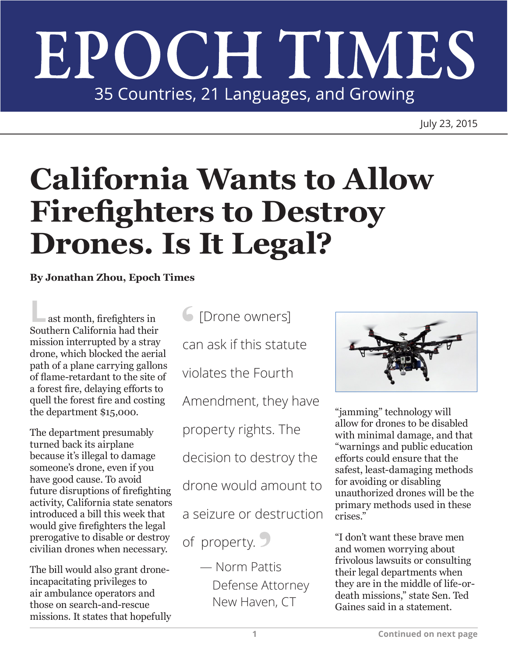## EPOCH TIMES 35 Countries, 21 Languages, and Growing

July 23, 2015

## **California Wants to Allow Firefighters to Destroy Drones. Is It Legal?**

**By Jonathan Zhou, Epoch Times**

**L**ast month, firefighters in Southern California had their mission interrupted by a stray drone, which blocked the aerial path of a plane carrying gallons of flame-retardant to the site of a forest fire, delaying efforts to quell the forest fire and costing the department \$15,000.

The department presumably turned back its airplane because it's illegal to damage someone's drone, even if you have good cause. To avoid future disruptions of firefighting activity, California state senators introduced a bill this week that would give firefighters the legal prerogative to disable or destroy civilian drones when necessary.

The bill would also grant droneincapacitating privileges to air ambulance operators and those on search-and-rescue missions. It states that hopefully

**6** [Drone owners] can ask if this statute violates the Fourth Amendment, they have property rights. The decision to destroy the drone would amount to a seizure or destruction of property.

> — Norm Pattis Defense Attorney New Haven, CT



"jamming" technology will allow for drones to be disabled with minimal damage, and that "warnings and public education efforts could ensure that the safest, least-damaging methods for avoiding or disabling unauthorized drones will be the primary methods used in these crises."

"I don't want these brave men and women worrying about frivolous lawsuits or consulting their legal departments when they are in the middle of life-ordeath missions," state Sen. Ted Gaines said in a statement.